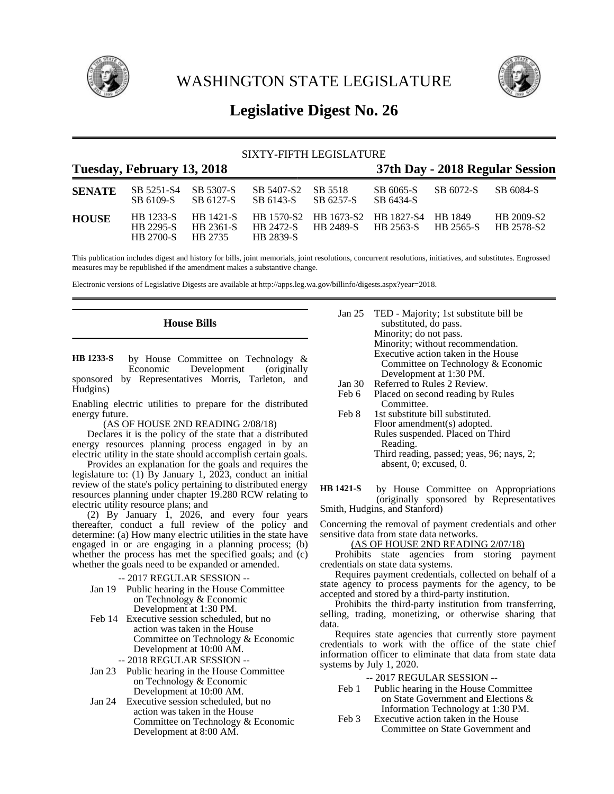

WASHINGTON STATE LEGISLATURE



# **Legislative Digest No. 26**

|               |                                                   |                                   | SIXTY-FIFTH LEGISLATURE              |                                           |                        |                      |                                 |
|---------------|---------------------------------------------------|-----------------------------------|--------------------------------------|-------------------------------------------|------------------------|----------------------|---------------------------------|
|               | Tuesday, February 13, 2018                        |                                   |                                      |                                           |                        |                      | 37th Day - 2018 Regular Session |
| <b>SENATE</b> | SB 5251-S4<br>SB 6109-S                           | SB 5307-S<br>SB 6127-S            | SB 5407-S2<br>SB 6143-S              | SB 5518<br>SB 6257-S                      | SB 6065-S<br>SB 6434-S | SB 6072-S            | SB 6084-S                       |
| <b>HOUSE</b>  | <b>HB</b> 1233-S<br>HB 2295-S<br><b>HB 2700-S</b> | HB 1421-S<br>HB 2361-S<br>HB 2735 | HB 1570-S2<br>HB 2472-S<br>HB 2839-S | HB 1673-S2 HB 1827-S4<br><b>HR 2489-S</b> | HB 2563-S              | HB 1849<br>HB 2565-S | HB 2009-S2<br>HB 2578-S2        |

This publication includes digest and history for bills, joint memorials, joint resolutions, concurrent resolutions, initiatives, and substitutes. Engrossed measures may be republished if the amendment makes a substantive change.

Electronic versions of Legislative Digests are available at http://apps.leg.wa.gov/billinfo/digests.aspx?year=2018.

# **House Bills**

by House Committee on Technology &<br>Economic Development (originally Development (originally sponsored by Representatives Morris, Tarleton, and Hudgins) **HB 1233-S**

Enabling electric utilities to prepare for the distributed energy future.

(AS OF HOUSE 2ND READING 2/08/18)

Declares it is the policy of the state that a distributed energy resources planning process engaged in by an electric utility in the state should accomplish certain goals.

Provides an explanation for the goals and requires the legislature to: (1) By January 1, 2023, conduct an initial review of the state's policy pertaining to distributed energy resources planning under chapter 19.280 RCW relating to electric utility resource plans; and

(2) By January 1, 2026, and every four years thereafter, conduct a full review of the policy and determine: (a) How many electric utilities in the state have engaged in or are engaging in a planning process; (b) whether the process has met the specified goals; and (c) whether the goals need to be expanded or amended.

-- 2017 REGULAR SESSION --

- Jan 19 Public hearing in the House Committee on Technology & Economic Development at 1:30 PM.
- Feb 14 Executive session scheduled, but no action was taken in the House Committee on Technology & Economic Development at 10:00 AM.
	- -- 2018 REGULAR SESSION --
- Jan 23 Public hearing in the House Committee on Technology & Economic Development at 10:00 AM.
- Jan 24 Executive session scheduled, but no action was taken in the House Committee on Technology & Economic Development at 8:00 AM.
- Jan 25 TED Majority; 1st substitute bill be substituted, do pass. Minority; do not pass. Minority; without recommendation. Executive action taken in the House Committee on Technology & Economic Development at 1:30 PM.
- Jan 30 Referred to Rules 2 Review.
- Feb 6 Placed on second reading by Rules Committee.
- Feb 8 1st substitute bill substituted. Floor amendment(s) adopted. Rules suspended. Placed on Third Reading. Third reading, passed; yeas, 96; nays, 2; absent, 0; excused, 0.

by House Committee on Appropriations (originally sponsored by Representatives Smith, Hudgins, and Stanford) **HB 1421-S**

Concerning the removal of payment credentials and other sensitive data from state data networks.

(AS OF HOUSE 2ND READING 2/07/18)

Prohibits state agencies from storing payment credentials on state data systems.

Requires payment credentials, collected on behalf of a state agency to process payments for the agency, to be accepted and stored by a third-party institution.

Prohibits the third-party institution from transferring, selling, trading, monetizing, or otherwise sharing that data.

Requires state agencies that currently store payment credentials to work with the office of the state chief information officer to eliminate that data from state data systems by July 1, 2020.

### -- 2017 REGULAR SESSION --

- Feb 1 Public hearing in the House Committee on State Government and Elections & Information Technology at 1:30 PM.
- Feb 3 Executive action taken in the House Committee on State Government and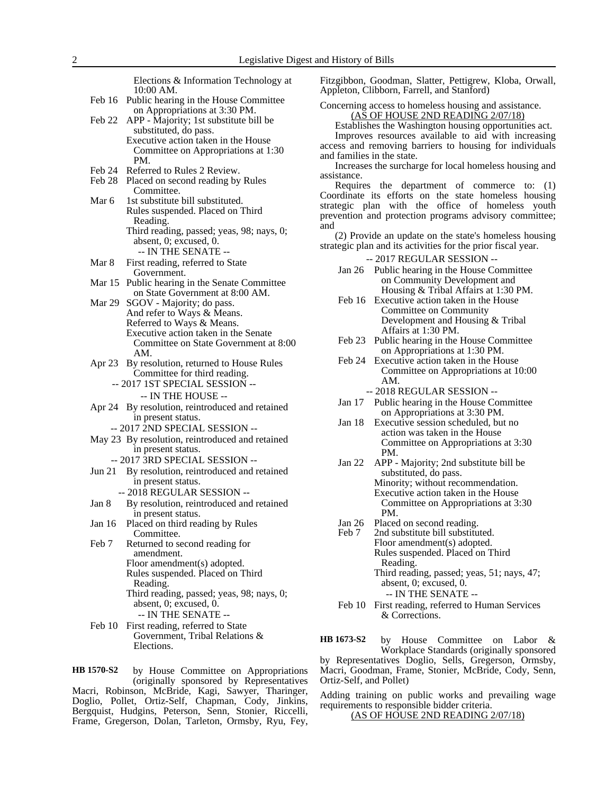Elections & Information Technology at 10:00 AM. Feb 16 Public hearing in the House Committee on Appropriations at 3:30 PM. Feb 22 APP - Majority; 1st substitute bill be substituted, do pass. Executive action taken in the House Committee on Appropriations at 1:30 PM. Feb 24 Referred to Rules 2 Review. Feb 28 Placed on second reading by Rules Committee. Mar 6 1st substitute bill substituted. Rules suspended. Placed on Third Reading. Third reading, passed; yeas, 98; nays, 0; absent, 0; excused, 0. -- IN THE SENATE -- Mar 8 First reading, referred to State Government. Mar 15 Public hearing in the Senate Committee on State Government at 8:00 AM. Mar 29 SGOV - Majority; do pass. And refer to Ways & Means. Referred to Ways & Means. Executive action taken in the Senate Committee on State Government at 8:00 AM. Apr 23 By resolution, returned to House Rules Committee for third reading. -- 2017 1ST SPECIAL SESSION -- -- IN THE HOUSE -- Apr 24 By resolution, reintroduced and retained in present status. -- 2017 2ND SPECIAL SESSION -- May 23 By resolution, reintroduced and retained in present status. -- 2017 3RD SPECIAL SESSION -- Jun 21 By resolution, reintroduced and retained in present status. -- 2018 REGULAR SESSION -- Jan 8 By resolution, reintroduced and retained in present status. Jan 16 Placed on third reading by Rules Committee. Feb 7 Returned to second reading for amendment. Floor amendment(s) adopted. Rules suspended. Placed on Third Reading. Third reading, passed; yeas, 98; nays, 0; absent, 0; excused, 0. -- IN THE SENATE -- Feb 10 First reading, referred to State Government, Tribal Relations & Elections.

by House Committee on Appropriations (originally sponsored by Representatives Macri, Robinson, McBride, Kagi, Sawyer, Tharinger, Doglio, Pollet, Ortiz-Self, Chapman, Cody, Jinkins, Bergquist, Hudgins, Peterson, Senn, Stonier, Riccelli, Frame, Gregerson, Dolan, Tarleton, Ormsby, Ryu, Fey, **HB 1570-S2**

Fitzgibbon, Goodman, Slatter, Pettigrew, Kloba, Orwall, Appleton, Clibborn, Farrell, and Stanford)

Concerning access to homeless housing and assistance. (AS OF HOUSE 2ND READING 2/07/18)

Establishes the Washington housing opportunities act.

Improves resources available to aid with increasing access and removing barriers to housing for individuals and families in the state.

Increases the surcharge for local homeless housing and assistance.

Requires the department of commerce to: (1) Coordinate its efforts on the state homeless housing strategic plan with the office of homeless youth prevention and protection programs advisory committee; and

(2) Provide an update on the state's homeless housing strategic plan and its activities for the prior fiscal year.

-- 2017 REGULAR SESSION --

- Jan 26 Public hearing in the House Committee on Community Development and Housing & Tribal Affairs at 1:30 PM.
- Feb 16 Executive action taken in the House Committee on Community Development and Housing & Tribal Affairs at 1:30 PM.
- Feb 23 Public hearing in the House Committee on Appropriations at 1:30 PM.
- Feb 24 Executive action taken in the House Committee on Appropriations at 10:00 AM.

-- 2018 REGULAR SESSION --

- Jan 17 Public hearing in the House Committee on Appropriations at 3:30 PM.
- Jan 18 Executive session scheduled, but no action was taken in the House Committee on Appropriations at 3:30 PM.
- Jan 22 APP Majority; 2nd substitute bill be substituted, do pass. Minority; without recommendation. Executive action taken in the House Committee on Appropriations at 3:30 PM.
- Jan 26 Placed on second reading.<br>Feb 7 2nd substitute bill substitu
- 2nd substitute bill substituted. Floor amendment(s) adopted. Rules suspended. Placed on Third Reading. Third reading, passed; yeas, 51; nays, 47; absent, 0; excused, 0. -- IN THE SENATE --
- Feb 10 First reading, referred to Human Services & Corrections.

by House Committee on Labor & Workplace Standards (originally sponsored by Representatives Doglio, Sells, Gregerson, Ormsby, Macri, Goodman, Frame, Stonier, McBride, Cody, Senn, Ortiz-Self, and Pollet) **HB 1673-S2**

Adding training on public works and prevailing wage requirements to responsible bidder criteria. (AS OF HOUSE 2ND READING 2/07/18)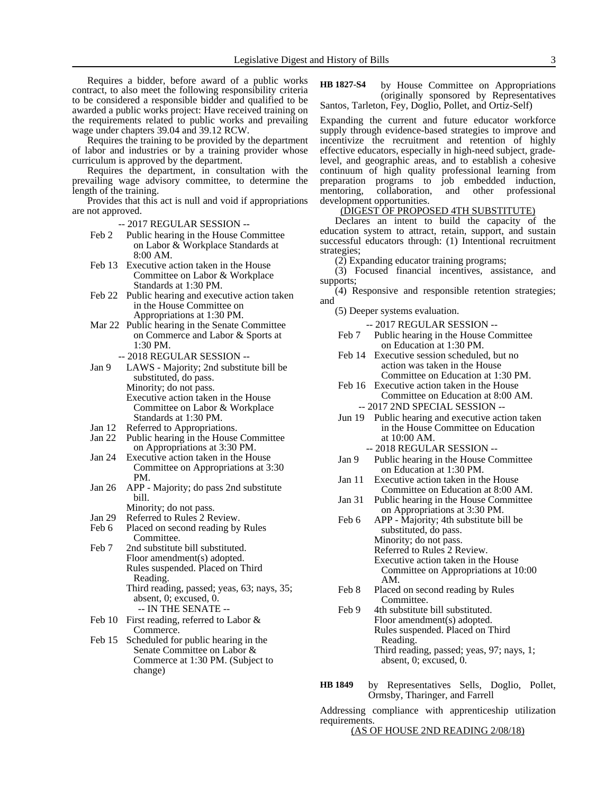Requires a bidder, before award of a public works contract, to also meet the following responsibility criteria to be considered a responsible bidder and qualified to be awarded a public works project: Have received training on the requirements related to public works and prevailing wage under chapters 39.04 and 39.12 RCW.

Requires the training to be provided by the department of labor and industries or by a training provider whose curriculum is approved by the department.

Requires the department, in consultation with the prevailing wage advisory committee, to determine the length of the training.

Provides that this act is null and void if appropriations are not approved.

- -- 2017 REGULAR SESSION --
- Feb 2 Public hearing in the House Committee on Labor & Workplace Standards at 8:00 AM.
- Feb 13 Executive action taken in the House Committee on Labor & Workplace Standards at 1:30 PM.
- Feb 22 Public hearing and executive action taken in the House Committee on Appropriations at 1:30 PM.
- Mar 22 Public hearing in the Senate Committee on Commerce and Labor & Sports at 1:30 PM.
	- -- 2018 REGULAR SESSION --
- Jan 9 LAWS Majority; 2nd substitute bill be substituted, do pass. Minority; do not pass. Executive action taken in the House Committee on Labor & Workplace Standards at 1:30 PM.
- Jan 12 Referred to Appropriations.<br>Jan 22 Public hearing in the House
- Public hearing in the House Committee on Appropriations at 3:30 PM.
- Jan 24 Executive action taken in the House Committee on Appropriations at 3:30 PM.
- Jan 26 APP Majority; do pass 2nd substitute bill.
	- Minority; do not pass.
- Jan 29 Referred to Rules 2 Review.<br>Feb 6 Placed on second reading by
- Placed on second reading by Rules Committee.
- Feb 7 2nd substitute bill substituted. Floor amendment(s) adopted. Rules suspended. Placed on Third Reading. Third reading, passed; yeas, 63; nays, 35; absent, 0; excused, 0. -- IN THE SENATE --
- Feb 10 First reading, referred to Labor & Commerce.
- Feb 15 Scheduled for public hearing in the Senate Committee on Labor & Commerce at 1:30 PM. (Subject to change)

by House Committee on Appropriations (originally sponsored by Representatives Santos, Tarleton, Fey, Doglio, Pollet, and Ortiz-Self) **HB 1827-S4**

Expanding the current and future educator workforce supply through evidence-based strategies to improve and incentivize the recruitment and retention of highly effective educators, especially in high-need subject, gradelevel, and geographic areas, and to establish a cohesive continuum of high quality professional learning from preparation programs to job embedded induction, mentoring, collaboration, and other professional development opportunities.

#### (DIGEST OF PROPOSED 4TH SUBSTITUTE)

Declares an intent to build the capacity of the education system to attract, retain, support, and sustain successful educators through: (1) Intentional recruitment strategies;

(2) Expanding educator training programs;

(3) Focused financial incentives, assistance, and supports;

(4) Responsive and responsible retention strategies; and

(5) Deeper systems evaluation.

- -- 2017 REGULAR SESSION --
- Feb 7 Public hearing in the House Committee on Education at 1:30 PM.
- Feb 14 Executive session scheduled, but no action was taken in the House Committee on Education at 1:30 PM.
- Feb 16 Executive action taken in the House Committee on Education at 8:00 AM.
- -- 2017 2ND SPECIAL SESSION -- Jun 19 Public hearing and executive action taken
- in the House Committee on Education at 10:00 AM.
	- -- 2018 REGULAR SESSION --
- Jan 9 Public hearing in the House Committee on Education at 1:30 PM.
- Jan 11 Executive action taken in the House Committee on Education at 8:00 AM.
- Jan 31 Public hearing in the House Committee on Appropriations at 3:30 PM.
- Feb 6 APP Majority; 4th substitute bill be substituted, do pass. Minority; do not pass. Referred to Rules 2 Review.
	- Executive action taken in the House Committee on Appropriations at 10:00 AM.
- Feb 8 Placed on second reading by Rules Committee.
- Feb 9 4th substitute bill substituted. Floor amendment(s) adopted. Rules suspended. Placed on Third Reading. Third reading, passed; yeas, 97; nays, 1; absent, 0; excused, 0.
- by Representatives Sells, Doglio, Pollet, Ormsby, Tharinger, and Farrell **HB 1849**

Addressing compliance with apprenticeship utilization requirements.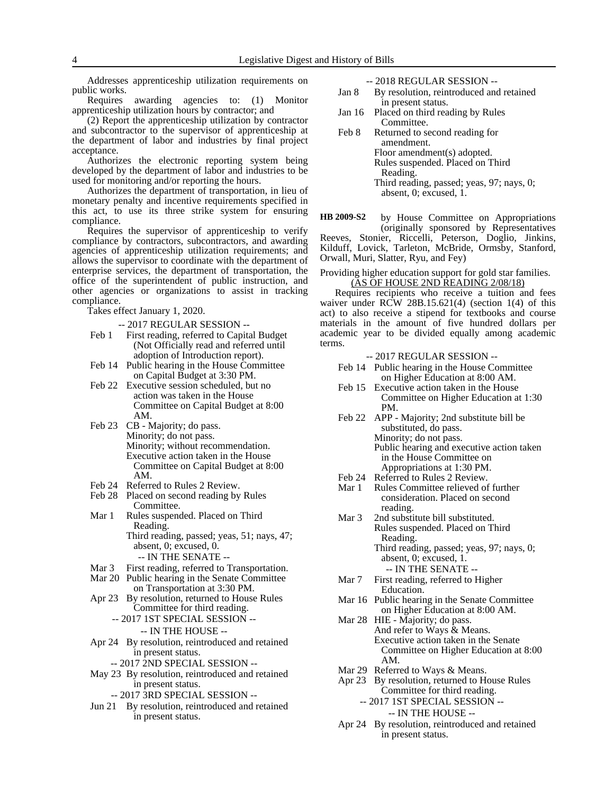Addresses apprenticeship utilization requirements on public works.

Requires awarding agencies to: (1) Monitor apprenticeship utilization hours by contractor; and

(2) Report the apprenticeship utilization by contractor and subcontractor to the supervisor of apprenticeship at the department of labor and industries by final project acceptance.

Authorizes the electronic reporting system being developed by the department of labor and industries to be used for monitoring and/or reporting the hours.

Authorizes the department of transportation, in lieu of monetary penalty and incentive requirements specified in this act, to use its three strike system for ensuring compliance.

Requires the supervisor of apprenticeship to verify compliance by contractors, subcontractors, and awarding agencies of apprenticeship utilization requirements; and allows the supervisor to coordinate with the department of enterprise services, the department of transportation, the office of the superintendent of public instruction, and other agencies or organizations to assist in tracking compliance.

Takes effect January 1, 2020.

-- 2017 REGULAR SESSION --

- Feb 1 First reading, referred to Capital Budget (Not Officially read and referred until adoption of Introduction report).
- Feb 14 Public hearing in the House Committee on Capital Budget at 3:30 PM.
- Feb 22 Executive session scheduled, but no action was taken in the House Committee on Capital Budget at 8:00 AM.
- Feb 23 CB Majority; do pass. Minority; do not pass. Minority; without recommendation. Executive action taken in the House Committee on Capital Budget at 8:00 AM.
- Feb 24 Referred to Rules 2 Review.
- Feb 28 Placed on second reading by Rules Committee.
- Mar 1 Rules suspended. Placed on Third Reading.

Third reading, passed; yeas, 51; nays, 47; absent, 0; excused, 0.

- -- IN THE SENATE --
- Mar 3 First reading, referred to Transportation.
- Mar 20 Public hearing in the Senate Committee on Transportation at 3:30 PM.
- Apr 23 By resolution, returned to House Rules Committee for third reading.
	- -- 2017 1ST SPECIAL SESSION -- -- IN THE HOUSE --
- Apr 24 By resolution, reintroduced and retained in present status.
	- -- 2017 2ND SPECIAL SESSION --
- May 23 By resolution, reintroduced and retained in present status.
	- -- 2017 3RD SPECIAL SESSION --
- Jun 21 By resolution, reintroduced and retained in present status.

-- 2018 REGULAR SESSION --

- Jan 8 By resolution, reintroduced and retained in present status.
- Jan 16 Placed on third reading by Rules Committee.
- Feb 8 Returned to second reading for amendment. Floor amendment(s) adopted. Rules suspended. Placed on Third Reading. Third reading, passed; yeas, 97; nays, 0; absent, 0; excused, 1.

by House Committee on Appropriations (originally sponsored by Representatives Reeves, Stonier, Riccelli, Peterson, Doglio, Jinkins, Kilduff, Lovick, Tarleton, McBride, Ormsby, Stanford, Orwall, Muri, Slatter, Ryu, and Fey) **HB 2009-S2**

Providing higher education support for gold star families. (AS OF HOUSE 2ND READING 2/08/18)

Requires recipients who receive a tuition and fees waiver under RCW 28B.15.621(4) (section  $1(4)$  of this act) to also receive a stipend for textbooks and course materials in the amount of five hundred dollars per academic year to be divided equally among academic terms.

- -- 2017 REGULAR SESSION --
- Feb 14 Public hearing in the House Committee on Higher Education at 8:00 AM.
- Feb 15 Executive action taken in the House Committee on Higher Education at 1:30 PM.
- Feb 22 APP Majority; 2nd substitute bill be substituted, do pass. Minority; do not pass. Public hearing and executive action taken in the House Committee on Appropriations at 1:30 PM.
- Feb 24 Referred to Rules 2 Review.
- Mar 1 Rules Committee relieved of further consideration. Placed on second reading.
- Mar 3 2nd substitute bill substituted. Rules suspended. Placed on Third Reading. Third reading, passed; yeas, 97; nays, 0; absent, 0; excused, 1.
	- -- IN THE SENATE --
- Mar 7 First reading, referred to Higher Education.
- Mar 16 Public hearing in the Senate Committee on Higher Education at 8:00 AM.
- Mar 28 HIE Majority; do pass. And refer to Ways & Means. Executive action taken in the Senate Committee on Higher Education at 8:00 AM.
- Mar 29 Referred to Ways & Means.
- Apr 23 By resolution, returned to House Rules Committee for third reading. -- 2017 1ST SPECIAL SESSION --

-- IN THE HOUSE --

Apr 24 By resolution, reintroduced and retained in present status.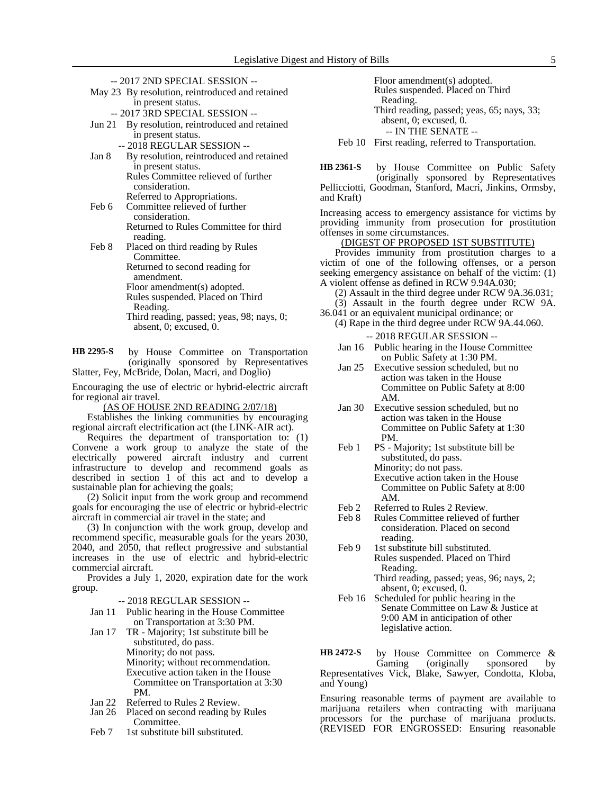-- 2017 2ND SPECIAL SESSION --

May 23 By resolution, reintroduced and retained in present status.

-- 2017 3RD SPECIAL SESSION --

- Jun 21 By resolution, reintroduced and retained in present status.
	- -- 2018 REGULAR SESSION --
- Jan 8 By resolution, reintroduced and retained in present status. Rules Committee relieved of further

consideration. Referred to Appropriations.

Feb 6 Committee relieved of further consideration. Returned to Rules Committee for third

reading. Feb 8 Placed on third reading by Rules Committee.

Returned to second reading for amendment.

Floor amendment(s) adopted. Rules suspended. Placed on Third

Reading.

Third reading, passed; yeas, 98; nays, 0; absent, 0; excused, 0.

by House Committee on Transportation (originally sponsored by Representatives Slatter, Fey, McBride, Dolan, Macri, and Doglio) **HB 2295-S**

Encouraging the use of electric or hybrid-electric aircraft for regional air travel.

(AS OF HOUSE 2ND READING 2/07/18)

Establishes the linking communities by encouraging regional aircraft electrification act (the LINK-AIR act).

Requires the department of transportation to: (1) Convene a work group to analyze the state of the electrically powered aircraft industry and current infrastructure to develop and recommend goals as described in section 1 of this act and to develop a sustainable plan for achieving the goals;

(2) Solicit input from the work group and recommend goals for encouraging the use of electric or hybrid-electric aircraft in commercial air travel in the state; and

(3) In conjunction with the work group, develop and recommend specific, measurable goals for the years 2030, 2040, and 2050, that reflect progressive and substantial increases in the use of electric and hybrid-electric commercial aircraft.

Provides a July 1, 2020, expiration date for the work group.

-- 2018 REGULAR SESSION --

- Jan 11 Public hearing in the House Committee on Transportation at 3:30 PM.
- Jan 17 TR Majority; 1st substitute bill be substituted, do pass. Minority; do not pass. Minority; without recommendation. Executive action taken in the House Committee on Transportation at 3:30 PM.
- Jan 22 Referred to Rules 2 Review.<br>Jan 26 Placed on second reading by
- Placed on second reading by Rules Committee.
- Feb 7 1st substitute bill substituted.

Floor amendment(s) adopted. Rules suspended. Placed on Third Reading. Third reading, passed; yeas, 65; nays, 33; absent, 0; excused, 0. -- IN THE SENATE --

Feb 10 First reading, referred to Transportation.

by House Committee on Public Safety (originally sponsored by Representatives Pellicciotti, Goodman, Stanford, Macri, Jinkins, Ormsby, and Kraft) **HB 2361-S**

Increasing access to emergency assistance for victims by providing immunity from prosecution for prostitution offenses in some circumstances.

# (DIGEST OF PROPOSED 1ST SUBSTITUTE)

Provides immunity from prostitution charges to a victim of one of the following offenses, or a person seeking emergency assistance on behalf of the victim: (1) A violent offense as defined in RCW 9.94A.030;

- (2) Assault in the third degree under RCW 9A.36.031;
- (3) Assault in the fourth degree under RCW 9A. 36.041 or an equivalent municipal ordinance; or
	- (4) Rape in the third degree under RCW 9A.44.060.
		- -- 2018 REGULAR SESSION --
		- Jan 16 Public hearing in the House Committee on Public Safety at 1:30 PM.
		- Jan 25 Executive session scheduled, but no action was taken in the House Committee on Public Safety at 8:00 AM.
		- Jan 30 Executive session scheduled, but no action was taken in the House Committee on Public Safety at 1:30 PM.
		- Feb 1 PS Majority; 1st substitute bill be substituted, do pass. Minority; do not pass. Executive action taken in the House Committee on Public Safety at 8:00 AM.
		- Feb 2 Referred to Rules 2 Review.
		- Feb 8 Rules Committee relieved of further consideration. Placed on second reading.
		- Feb 9 1st substitute bill substituted. Rules suspended. Placed on Third Reading.
			- Third reading, passed; yeas, 96; nays, 2; absent, 0; excused, 0.
		- Feb 16 Scheduled for public hearing in the Senate Committee on Law & Justice at 9:00 AM in anticipation of other legislative action.

by House Committee on Commerce & Gaming (originally sponsored by Representatives Vick, Blake, Sawyer, Condotta, Kloba, and Young) **HB 2472-S**

Ensuring reasonable terms of payment are available to marijuana retailers when contracting with marijuana processors for the purchase of marijuana products. (REVISED FOR ENGROSSED: Ensuring reasonable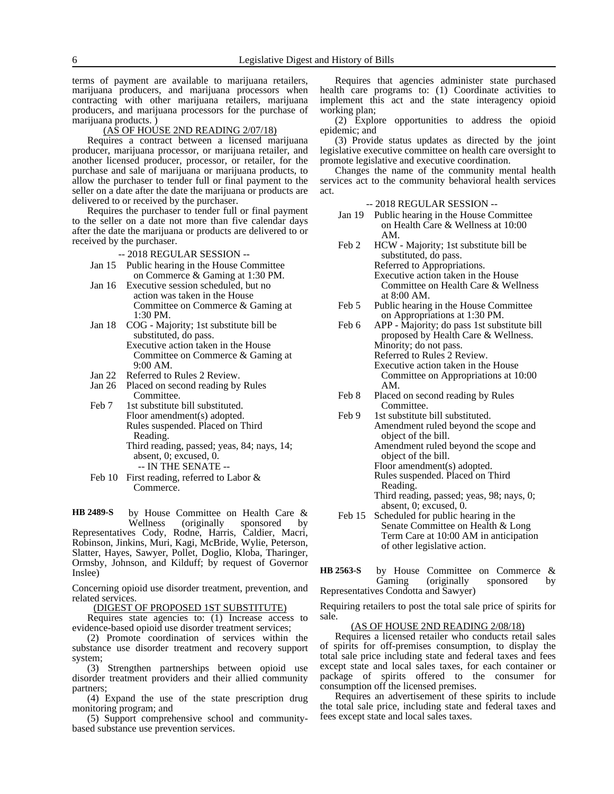terms of payment are available to marijuana retailers, marijuana producers, and marijuana processors when contracting with other marijuana retailers, marijuana producers, and marijuana processors for the purchase of marijuana products. )

#### (AS OF HOUSE 2ND READING 2/07/18)

Requires a contract between a licensed marijuana producer, marijuana processor, or marijuana retailer, and another licensed producer, processor, or retailer, for the purchase and sale of marijuana or marijuana products, to allow the purchaser to tender full or final payment to the seller on a date after the date the marijuana or products are delivered to or received by the purchaser.

Requires the purchaser to tender full or final payment to the seller on a date not more than five calendar days after the date the marijuana or products are delivered to or received by the purchaser.

-- 2018 REGULAR SESSION --

- Jan 15 Public hearing in the House Committee on Commerce & Gaming at 1:30 PM.
- Jan 16 Executive session scheduled, but no action was taken in the House Committee on Commerce & Gaming at 1:30 PM.
- Jan 18 COG Majority; 1st substitute bill be substituted, do pass. Executive action taken in the House Committee on Commerce & Gaming at 9:00 AM.
- Jan 22 Referred to Rules 2 Review.
- Jan 26 Placed on second reading by Rules Committee.
- Feb 7 1st substitute bill substituted. Floor amendment(s) adopted. Rules suspended. Placed on Third Reading. Third reading, passed; yeas, 84; nays, 14;
	- absent, 0; excused, 0. -- IN THE SENATE --
- Feb 10 First reading, referred to Labor & Commerce.

by House Committee on Health Care & Wellness (originally sponsored Representatives Cody, Rodne, Harris, Caldier, Macri, Robinson, Jinkins, Muri, Kagi, McBride, Wylie, Peterson, Slatter, Hayes, Sawyer, Pollet, Doglio, Kloba, Tharinger, Ormsby, Johnson, and Kilduff; by request of Governor Inslee) **HB 2489-S**

Concerning opioid use disorder treatment, prevention, and related services.

(DIGEST OF PROPOSED 1ST SUBSTITUTE)

Requires state agencies to: (1) Increase access to evidence-based opioid use disorder treatment services;

(2) Promote coordination of services within the substance use disorder treatment and recovery support system;

(3) Strengthen partnerships between opioid use disorder treatment providers and their allied community partners;

(4) Expand the use of the state prescription drug monitoring program; and

(5) Support comprehensive school and communitybased substance use prevention services.

Requires that agencies administer state purchased health care programs to: (1) Coordinate activities to implement this act and the state interagency opioid working plan;

(2) Explore opportunities to address the opioid epidemic; and

(3) Provide status updates as directed by the joint legislative executive committee on health care oversight to promote legislative and executive coordination.

Changes the name of the community mental health services act to the community behavioral health services act.

- -- 2018 REGULAR SESSION --
- Jan 19 Public hearing in the House Committee on Health Care & Wellness at 10:00 AM.
- Feb 2 HCW Majority; 1st substitute bill be substituted, do pass. Referred to Appropriations. Executive action taken in the House Committee on Health Care & Wellness at 8:00 AM.
- Feb 5 Public hearing in the House Committee on Appropriations at 1:30 PM.

Feb 6 APP - Majority; do pass 1st substitute bill proposed by Health Care & Wellness. Minority; do not pass. Referred to Rules 2 Review. Executive action taken in the House Committee on Appropriations at 10:00 AM.

- Feb 8 Placed on second reading by Rules Committee.
- Feb 9 1st substitute bill substituted. Amendment ruled beyond the scope and object of the bill.
	- Amendment ruled beyond the scope and object of the bill.
		- Floor amendment(s) adopted.

Rules suspended. Placed on Third Reading.

Third reading, passed; yeas, 98; nays, 0; absent, 0; excused, 0.

Feb 15 Scheduled for public hearing in the Senate Committee on Health & Long Term Care at 10:00 AM in anticipation of other legislative action.

by House Committee on Commerce & Gaming (originally sponsored by Representatives Condotta and Sawyer) **HB 2563-S**

Requiring retailers to post the total sale price of spirits for sale.

#### (AS OF HOUSE 2ND READING 2/08/18)

Requires a licensed retailer who conducts retail sales of spirits for off-premises consumption, to display the total sale price including state and federal taxes and fees except state and local sales taxes, for each container or package of spirits offered to the consumer for consumption off the licensed premises.

Requires an advertisement of these spirits to include the total sale price, including state and federal taxes and fees except state and local sales taxes.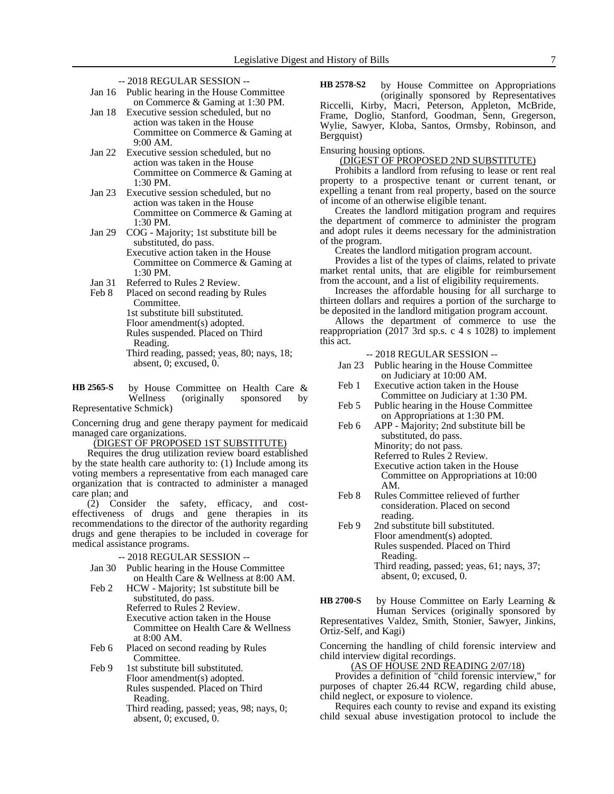- -- 2018 REGULAR SESSION --
- Jan 16 Public hearing in the House Committee on Commerce & Gaming at 1:30 PM.
- Jan 18 Executive session scheduled, but no action was taken in the House Committee on Commerce & Gaming at 9:00 AM.
- Jan 22 Executive session scheduled, but no action was taken in the House Committee on Commerce & Gaming at 1:30 PM.
- Jan 23 Executive session scheduled, but no action was taken in the House Committee on Commerce & Gaming at 1:30 PM.
- Jan 29 COG Majority; 1st substitute bill be substituted, do pass. Executive action taken in the House Committee on Commerce & Gaming at
- 1:30 PM. Jan 31 Referred to Rules 2 Review.
- Feb 8 Placed on second reading by Rules Committee. 1st substitute bill substituted. Floor amendment(s) adopted. Rules suspended. Placed on Third
	- Reading.
	- Third reading, passed; yeas, 80; nays, 18; absent, 0; excused, 0.

by House Committee on Health Care &<br>Wellness (originally sponsored by (originally sponsored by Representative Schmick) **HB 2565-S**

Concerning drug and gene therapy payment for medicaid managed care organizations.

(DIGEST OF PROPOSED 1ST SUBSTITUTE)

Requires the drug utilization review board established by the state health care authority to: (1) Include among its voting members a representative from each managed care organization that is contracted to administer a managed care plan; and

(2) Consider the safety, efficacy, and costeffectiveness of drugs and gene therapies in its recommendations to the director of the authority regarding drugs and gene therapies to be included in coverage for medical assistance programs.

- -- 2018 REGULAR SESSION --
- Jan 30 Public hearing in the House Committee on Health Care & Wellness at 8:00 AM.
- Feb 2 HCW Majority; 1st substitute bill be substituted, do pass. Referred to Rules 2 Review. Executive action taken in the House Committee on Health Care & Wellness at 8:00 AM.
- Feb 6 Placed on second reading by Rules Committee.

Feb 9 1st substitute bill substituted. Floor amendment(s) adopted. Rules suspended. Placed on Third Reading.

Third reading, passed; yeas, 98; nays, 0; absent, 0; excused, 0.

by House Committee on Appropriations (originally sponsored by Representatives Riccelli, Kirby, Macri, Peterson, Appleton, McBride, Frame, Doglio, Stanford, Goodman, Senn, Gregerson, Wylie, Sawyer, Kloba, Santos, Ormsby, Robinson, and Bergquist) **HB 2578-S2**

Ensuring housing options.

# (DIGEST OF PROPOSED 2ND SUBSTITUTE)

Prohibits a landlord from refusing to lease or rent real property to a prospective tenant or current tenant, or expelling a tenant from real property, based on the source of income of an otherwise eligible tenant.

Creates the landlord mitigation program and requires the department of commerce to administer the program and adopt rules it deems necessary for the administration of the program.

Creates the landlord mitigation program account.

Provides a list of the types of claims, related to private market rental units, that are eligible for reimbursement from the account, and a list of eligibility requirements.

Increases the affordable housing for all surcharge to thirteen dollars and requires a portion of the surcharge to be deposited in the landlord mitigation program account.

Allows the department of commerce to use the reappropriation (2017 3rd sp.s. c 4 s 1028) to implement this act.

- -- 2018 REGULAR SESSION --
- Jan 23 Public hearing in the House Committee on Judiciary at 10:00 AM.
- Feb 1 Executive action taken in the House Committee on Judiciary at 1:30 PM.
- Feb 5 Public hearing in the House Committee on Appropriations at 1:30 PM.
- Feb 6 APP Majority; 2nd substitute bill be substituted, do pass.

Minority; do not pass.

Referred to Rules 2 Review.

- Executive action taken in the House Committee on Appropriations at 10:00 AM.
- Feb 8 Rules Committee relieved of further consideration. Placed on second reading.
- Feb 9 2nd substitute bill substituted. Floor amendment(s) adopted. Rules suspended. Placed on Third Reading. Third reading, passed; yeas, 61; nays, 37; absent, 0; excused, 0.

by House Committee on Early Learning & Human Services (originally sponsored by Representatives Valdez, Smith, Stonier, Sawyer, Jinkins, Ortiz-Self, and Kagi) **HB 2700-S**

Concerning the handling of child forensic interview and child interview digital recordings.

(AS OF HOUSE 2ND READING 2/07/18)

Provides a definition of "child forensic interview," for purposes of chapter 26.44 RCW, regarding child abuse, child neglect, or exposure to violence.

Requires each county to revise and expand its existing child sexual abuse investigation protocol to include the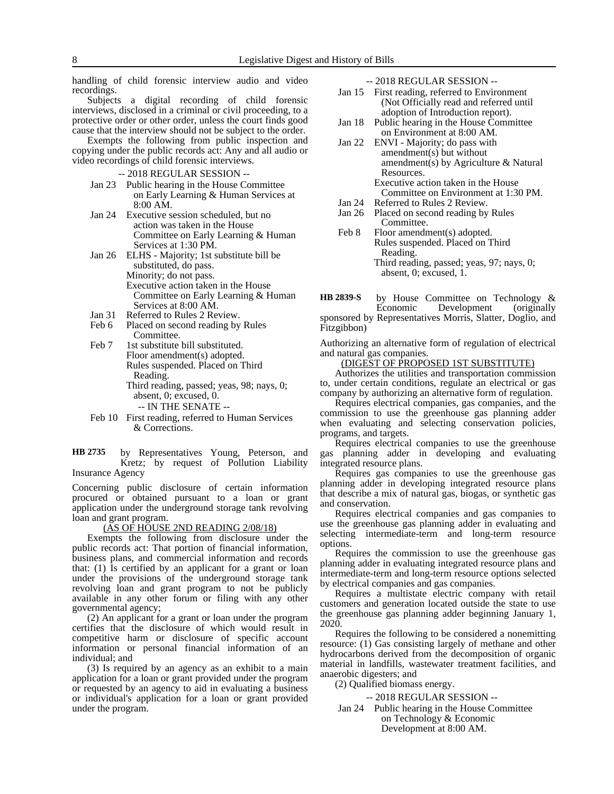handling of child forensic interview audio and video recordings.

Subjects a digital recording of child forensic interviews, disclosed in a criminal or civil proceeding, to a protective order or other order, unless the court finds good cause that the interview should not be subject to the order.

Exempts the following from public inspection and copying under the public records act: Any and all audio or video recordings of child forensic interviews.

- -- 2018 REGULAR SESSION --
- Jan 23 Public hearing in the House Committee on Early Learning & Human Services at 8:00 AM.
- Jan 24 Executive session scheduled, but no action was taken in the House Committee on Early Learning & Human Services at 1:30 PM.
- Jan 26 ELHS Majority; 1st substitute bill be substituted, do pass. Minority; do not pass.
	- Executive action taken in the House Committee on Early Learning & Human Services at 8:00 AM.
- Jan 31 Referred to Rules 2 Review.<br>Feb 6 Placed on second reading by
- Placed on second reading by Rules Committee.
- Feb 7 1st substitute bill substituted. Floor amendment(s) adopted. Rules suspended. Placed on Third Reading. Third reading, passed; yeas, 98; nays, 0;

absent, 0; excused, 0. -- IN THE SENATE --

Feb 10 First reading, referred to Human Services

& Corrections.

by Representatives Young, Peterson, and Kretz; by request of Pollution Liability Insurance Agency **HB 2735**

Concerning public disclosure of certain information procured or obtained pursuant to a loan or grant application under the underground storage tank revolving loan and grant program.

(AS OF HOUSE 2ND READING 2/08/18)

Exempts the following from disclosure under the public records act: That portion of financial information, business plans, and commercial information and records that: (1) Is certified by an applicant for a grant or loan under the provisions of the underground storage tank revolving loan and grant program to not be publicly available in any other forum or filing with any other governmental agency;

(2) An applicant for a grant or loan under the program certifies that the disclosure of which would result in competitive harm or disclosure of specific account information or personal financial information of an individual; and

(3) Is required by an agency as an exhibit to a main application for a loan or grant provided under the program or requested by an agency to aid in evaluating a business or individual's application for a loan or grant provided under the program.

-- 2018 REGULAR SESSION --

- Jan 15 First reading, referred to Environment (Not Officially read and referred until adoption of Introduction report).
- Jan 18 Public hearing in the House Committee on Environment at 8:00 AM.
- Jan 22 ENVI Majority; do pass with amendment(s) but without amendment(s) by Agriculture & Natural Resources. Executive action taken in the House

Committee on Environment at 1:30 PM.

- Jan 24 Referred to Rules 2 Review.
- Jan 26 Placed on second reading by Rules Committee.
- Feb 8 Floor amendment(s) adopted. Rules suspended. Placed on Third Reading. Third reading, passed; yeas, 97; nays, 0; absent, 0; excused, 1.

by House Committee on Technology & Economic Development (originally sponsored by Representatives Morris, Slatter, Doglio, and Fitzgibbon) **HB 2839-S**

Authorizing an alternative form of regulation of electrical and natural gas companies.

(DIGEST OF PROPOSED 1ST SUBSTITUTE)

Authorizes the utilities and transportation commission to, under certain conditions, regulate an electrical or gas company by authorizing an alternative form of regulation.

Requires electrical companies, gas companies, and the commission to use the greenhouse gas planning adder when evaluating and selecting conservation policies, programs, and targets.

Requires electrical companies to use the greenhouse gas planning adder in developing and evaluating integrated resource plans.

Requires gas companies to use the greenhouse gas planning adder in developing integrated resource plans that describe a mix of natural gas, biogas, or synthetic gas and conservation.

Requires electrical companies and gas companies to use the greenhouse gas planning adder in evaluating and selecting intermediate-term and long-term resource options.

Requires the commission to use the greenhouse gas planning adder in evaluating integrated resource plans and intermediate-term and long-term resource options selected by electrical companies and gas companies.

Requires a multistate electric company with retail customers and generation located outside the state to use the greenhouse gas planning adder beginning January 1, 2020.

Requires the following to be considered a nonemitting resource: (1) Gas consisting largely of methane and other hydrocarbons derived from the decomposition of organic material in landfills, wastewater treatment facilities, and anaerobic digesters; and

(2) Qualified biomass energy.

-- 2018 REGULAR SESSION --

Jan 24 Public hearing in the House Committee on Technology & Economic Development at 8:00 AM.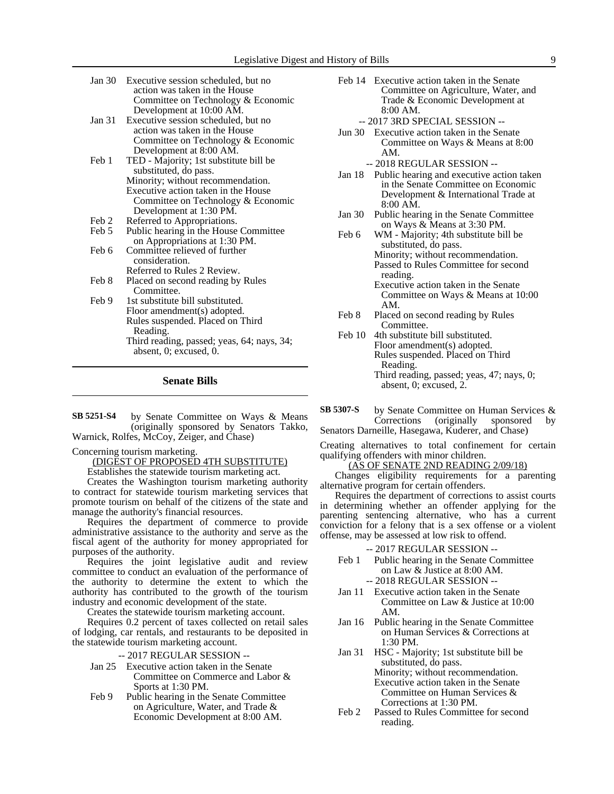| Jan 30 | Executive session scheduled, but no    |  |  |  |
|--------|----------------------------------------|--|--|--|
|        | action was taken in the House          |  |  |  |
|        | Committee on Technology & Economic     |  |  |  |
|        | Development at 10:00 AM.               |  |  |  |
| Jan 31 | Executive session scheduled, but no    |  |  |  |
|        | action was taken in the House          |  |  |  |
|        | Committee on Technology & Economic     |  |  |  |
|        | Development at 8:00 AM.                |  |  |  |
| Feb 1  | TED - Majority; 1st substitute bill be |  |  |  |
|        | substituted, do pass.                  |  |  |  |
|        | Minority; without recommendation.      |  |  |  |
|        | Executive action taken in the House    |  |  |  |
|        | Committee on Technology & Economic     |  |  |  |
|        | Development at 1:30 PM.                |  |  |  |
| Feb 2  | Referred to Appropriations.            |  |  |  |
| Feb 5  | Public hearing in the House Committee  |  |  |  |
|        | on Appropriations at 1:30 PM.          |  |  |  |
| Feb 6  | Committee relieved of further          |  |  |  |
|        | consideration.                         |  |  |  |
|        | Referred to Rules 2 Review.            |  |  |  |
| Feb 8  | Placed on second reading by Rules      |  |  |  |
|        | Committee.                             |  |  |  |
| Feb 9  | 1st substitute bill substituted.       |  |  |  |
|        | Floor amendment(s) adopted.            |  |  |  |
|        | Rules suspended. Placed on Third       |  |  |  |
|        | Reading.                               |  |  |  |
|        |                                        |  |  |  |

Third reading, passed; yeas, 64; nays, 34; absent, 0; excused, 0.

**Senate Bills**

by Senate Committee on Ways & Means (originally sponsored by Senators Takko, Warnick, Rolfes, McCoy, Zeiger, and Chase) **SB 5251-S4**

#### Concerning tourism marketing.

(DIGEST OF PROPOSED 4TH SUBSTITUTE) Establishes the statewide tourism marketing act.

Creates the Washington tourism marketing authority to contract for statewide tourism marketing services that promote tourism on behalf of the citizens of the state and manage the authority's financial resources.

Requires the department of commerce to provide administrative assistance to the authority and serve as the fiscal agent of the authority for money appropriated for purposes of the authority.

Requires the joint legislative audit and review committee to conduct an evaluation of the performance of the authority to determine the extent to which the authority has contributed to the growth of the tourism industry and economic development of the state.

Creates the statewide tourism marketing account.

Requires 0.2 percent of taxes collected on retail sales of lodging, car rentals, and restaurants to be deposited in the statewide tourism marketing account.

-- 2017 REGULAR SESSION --

- Jan 25 Executive action taken in the Senate Committee on Commerce and Labor & Sports at 1:30 PM.
- Feb 9 Public hearing in the Senate Committee on Agriculture, Water, and Trade & Economic Development at 8:00 AM.
- Feb 14 Executive action taken in the Senate Committee on Agriculture, Water, and Trade & Economic Development at 8:00 AM.
	- -- 2017 3RD SPECIAL SESSION --
- Jun 30 Executive action taken in the Senate Committee on Ways & Means at 8:00 AM.
- -- 2018 REGULAR SESSION -- Jan 18 Public hearing and executive action taken
- in the Senate Committee on Economic Development & International Trade at 8:00 AM.
- Jan 30 Public hearing in the Senate Committee on Ways & Means at 3:30 PM.
- Feb 6 WM Majority; 4th substitute bill be substituted, do pass. Minority; without recommendation. Passed to Rules Committee for second reading. Executive action taken in the Senate
	- Committee on Ways & Means at 10:00 AM.
- Feb 8 Placed on second reading by Rules Committee.
- Feb 10 4th substitute bill substituted. Floor amendment(s) adopted. Rules suspended. Placed on Third Reading. Third reading, passed; yeas, 47; nays, 0; absent, 0; excused, 2.
- by Senate Committee on Human Services & Corrections (originally sponsored by Senators Darneille, Hasegawa, Kuderer, and Chase) **SB 5307-S**

Creating alternatives to total confinement for certain qualifying offenders with minor children.

(AS OF SENATE 2ND READING 2/09/18)

Changes eligibility requirements for a parenting alternative program for certain offenders.

Requires the department of corrections to assist courts in determining whether an offender applying for the parenting sentencing alternative, who has a current conviction for a felony that is a sex offense or a violent offense, may be assessed at low risk to offend.

-- 2017 REGULAR SESSION --

- Feb 1 Public hearing in the Senate Committee on Law & Justice at 8:00 AM. -- 2018 REGULAR SESSION --
- Jan 11 Executive action taken in the Senate Committee on Law & Justice at 10:00 AM.
- Jan 16 Public hearing in the Senate Committee on Human Services & Corrections at 1:30 PM.
- Jan 31 HSC Majority; 1st substitute bill be substituted, do pass. Minority; without recommendation. Executive action taken in the Senate Committee on Human Services &

Corrections at 1:30 PM.

Feb 2 Passed to Rules Committee for second reading.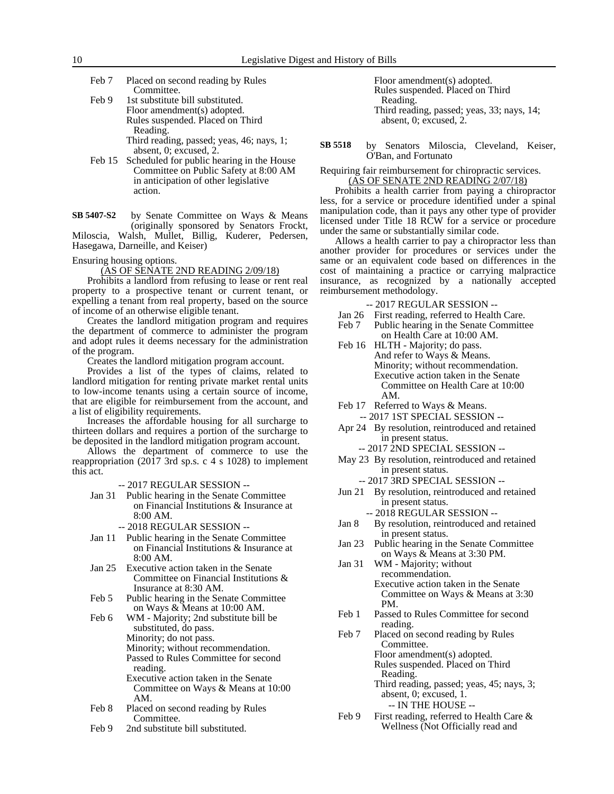| Feb 7 | Placed on second reading by Rules |
|-------|-----------------------------------|
|       | Committee.                        |

- Feb 9 1st substitute bill substituted. Floor amendment(s) adopted. Rules suspended. Placed on Third Reading. Third reading, passed; yeas, 46; nays, 1; absent, 0; excused, 2.
- Feb 15 Scheduled for public hearing in the House Committee on Public Safety at 8:00 AM in anticipation of other legislative action.

by Senate Committee on Ways & Means (originally sponsored by Senators Frockt, Miloscia, Walsh, Mullet, Billig, Kuderer, Pedersen, Hasegawa, Darneille, and Keiser) **SB 5407-S2**

# Ensuring housing options.

(AS OF SENATE 2ND READING 2/09/18)

Prohibits a landlord from refusing to lease or rent real property to a prospective tenant or current tenant, or expelling a tenant from real property, based on the source of income of an otherwise eligible tenant.

Creates the landlord mitigation program and requires the department of commerce to administer the program and adopt rules it deems necessary for the administration of the program.

Creates the landlord mitigation program account.

Provides a list of the types of claims, related to landlord mitigation for renting private market rental units to low-income tenants using a certain source of income, that are eligible for reimbursement from the account, and a list of eligibility requirements.

Increases the affordable housing for all surcharge to thirteen dollars and requires a portion of the surcharge to be deposited in the landlord mitigation program account.

Allows the department of commerce to use the reappropriation (2017 3rd sp.s. c 4 s 1028) to implement this act.

-- 2017 REGULAR SESSION --

- Jan 31 Public hearing in the Senate Committee on Financial Institutions & Insurance at 8:00 AM.
	- -- 2018 REGULAR SESSION --
- Jan 11 Public hearing in the Senate Committee on Financial Institutions & Insurance at 8:00 AM.
- Jan 25 Executive action taken in the Senate Committee on Financial Institutions & Insurance at 8:30 AM.
- Feb 5 Public hearing in the Senate Committee on Ways & Means at 10:00 AM.

Feb 6 WM - Majority; 2nd substitute bill be substituted, do pass. Minority; do not pass. Minority; without recommendation. Passed to Rules Committee for second reading. Executive action taken in the Senate Committee on Ways & Means at 10:00 AM.

- Feb 8 Placed on second reading by Rules Committee.
- Feb 9 2nd substitute bill substituted.

Floor amendment(s) adopted. Rules suspended. Placed on Third Reading. Third reading, passed; yeas, 33; nays, 14; absent, 0; excused, 2.

by Senators Miloscia, Cleveland, Keiser, O'Ban, and Fortunato **SB 5518**

Requiring fair reimbursement for chiropractic services. (AS OF SENATE 2ND READING 2/07/18)

Prohibits a health carrier from paying a chiropractor less, for a service or procedure identified under a spinal manipulation code, than it pays any other type of provider licensed under Title 18 RCW for a service or procedure under the same or substantially similar code.

Allows a health carrier to pay a chiropractor less than another provider for procedures or services under the same or an equivalent code based on differences in the cost of maintaining a practice or carrying malpractice insurance, as recognized by a nationally accepted reimbursement methodology.

-- 2017 REGULAR SESSION --

- Jan 26 First reading, referred to Health Care.
- Feb 7 Public hearing in the Senate Committee on Health Care at 10:00 AM.
- Feb 16 HLTH Majority; do pass. And refer to Ways & Means. Minority; without recommendation. Executive action taken in the Senate Committee on Health Care at 10:00 AM.
- Feb 17 Referred to Ways & Means. -- 2017 1ST SPECIAL SESSION --
- Apr 24 By resolution, reintroduced and retained in present status.
	- -- 2017 2ND SPECIAL SESSION --
- May 23 By resolution, reintroduced and retained in present status.
- -- 2017 3RD SPECIAL SESSION -- Jun 21 By resolution, reintroduced and retained in present status.
	- -- 2018 REGULAR SESSION --
- Jan 8 By resolution, reintroduced and retained in present status.
- Jan 23 Public hearing in the Senate Committee on Ways & Means at 3:30 PM.
- Jan 31 WM Majority; without recommendation. Executive action taken in the Senate Committee on Ways & Means at 3:30 PM.
- Feb 1 Passed to Rules Committee for second reading.
- Feb 7 Placed on second reading by Rules Committee. Floor amendment(s) adopted. Rules suspended. Placed on Third Reading.

Third reading, passed; yeas, 45; nays, 3; absent, 0; excused, 1. -- IN THE HOUSE --

Feb 9 First reading, referred to Health Care & Wellness (Not Officially read and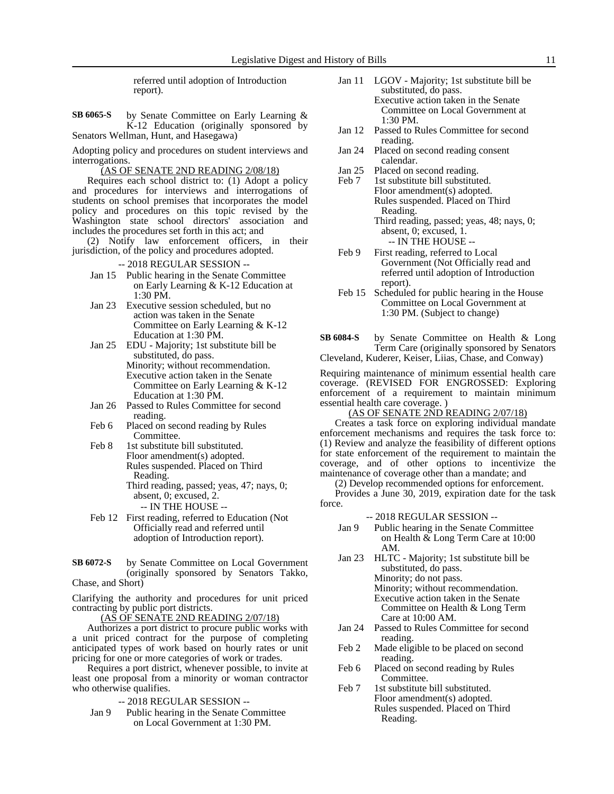referred until adoption of Introduction report).

by Senate Committee on Early Learning & K-12 Education (originally sponsored by Senators Wellman, Hunt, and Hasegawa) **SB 6065-S**

Adopting policy and procedures on student interviews and interrogations.

(AS OF SENATE 2ND READING 2/08/18)

Requires each school district to: (1) Adopt a policy and procedures for interviews and interrogations of students on school premises that incorporates the model policy and procedures on this topic revised by the Washington state school directors' association and includes the procedures set forth in this act; and

(2) Notify law enforcement officers, in their jurisdiction, of the policy and procedures adopted.

-- 2018 REGULAR SESSION --

- Jan 15 Public hearing in the Senate Committee on Early Learning & K-12 Education at 1:30 PM.
- Jan 23 Executive session scheduled, but no action was taken in the Senate Committee on Early Learning & K-12 Education at 1:30 PM.
- Jan 25 EDU Majority; 1st substitute bill be substituted, do pass. Minority; without recommendation. Executive action taken in the Senate Committee on Early Learning & K-12 Education at 1:30 PM.
- Jan 26 Passed to Rules Committee for second reading.
- Feb 6 Placed on second reading by Rules Committee.
- Feb 8 1st substitute bill substituted. Floor amendment(s) adopted. Rules suspended. Placed on Third Reading. Third reading, passed; yeas, 47; nays, 0;
	- absent, 0; excused, 2. -- IN THE HOUSE --
- Feb 12 First reading, referred to Education (Not Officially read and referred until adoption of Introduction report).
- by Senate Committee on Local Government (originally sponsored by Senators Takko, **SB 6072-S**

Chase, and Short)

Clarifying the authority and procedures for unit priced contracting by public port districts.

(AS OF SENATE 2ND READING 2/07/18)

Authorizes a port district to procure public works with a unit priced contract for the purpose of completing anticipated types of work based on hourly rates or unit pricing for one or more categories of work or trades.

Requires a port district, whenever possible, to invite at least one proposal from a minority or woman contractor who otherwise qualifies.

-- 2018 REGULAR SESSION --

Jan 9 Public hearing in the Senate Committee on Local Government at 1:30 PM.

- Jan 11 LGOV Majority; 1st substitute bill be substituted, do pass. Executive action taken in the Senate Committee on Local Government at
- 1:30 PM. Jan 12 Passed to Rules Committee for second
- reading.
- Jan 24 Placed on second reading consent calendar.
- Jan 25 Placed on second reading.<br>Feb 7 1st substitute bill substitute
- 1st substitute bill substituted. Floor amendment(s) adopted. Rules suspended. Placed on Third Reading.
	- Third reading, passed; yeas, 48; nays, 0; absent, 0; excused, 1. -- IN THE HOUSE --
- Feb 9 First reading, referred to Local Government (Not Officially read and referred until adoption of Introduction report).
- Feb 15 Scheduled for public hearing in the House Committee on Local Government at 1:30 PM. (Subject to change)
- by Senate Committee on Health & Long Term Care (originally sponsored by Senators **SB 6084-S**

Cleveland, Kuderer, Keiser, Liias, Chase, and Conway)

Requiring maintenance of minimum essential health care coverage. (REVISED FOR ENGROSSED: Exploring enforcement of a requirement to maintain minimum essential health care coverage. )

(AS OF SENATE 2ND READING 2/07/18)

Creates a task force on exploring individual mandate enforcement mechanisms and requires the task force to: (1) Review and analyze the feasibility of different options for state enforcement of the requirement to maintain the coverage, and of other options to incentivize the maintenance of coverage other than a mandate; and

(2) Develop recommended options for enforcement.

Provides a June 30, 2019, expiration date for the task force.

-- 2018 REGULAR SESSION --

- Jan 9 Public hearing in the Senate Committee on Health & Long Term Care at 10:00 AM.
- Jan 23 HLTC Majority; 1st substitute bill be substituted, do pass. Minority; do not pass. Minority; without recommendation. Executive action taken in the Senate Committee on Health & Long Term Care at 10:00 AM.
- Jan 24 Passed to Rules Committee for second reading.
- Feb 2 Made eligible to be placed on second reading.
- Feb 6 Placed on second reading by Rules Committee.
- Feb 7 1st substitute bill substituted. Floor amendment(s) adopted. Rules suspended. Placed on Third Reading.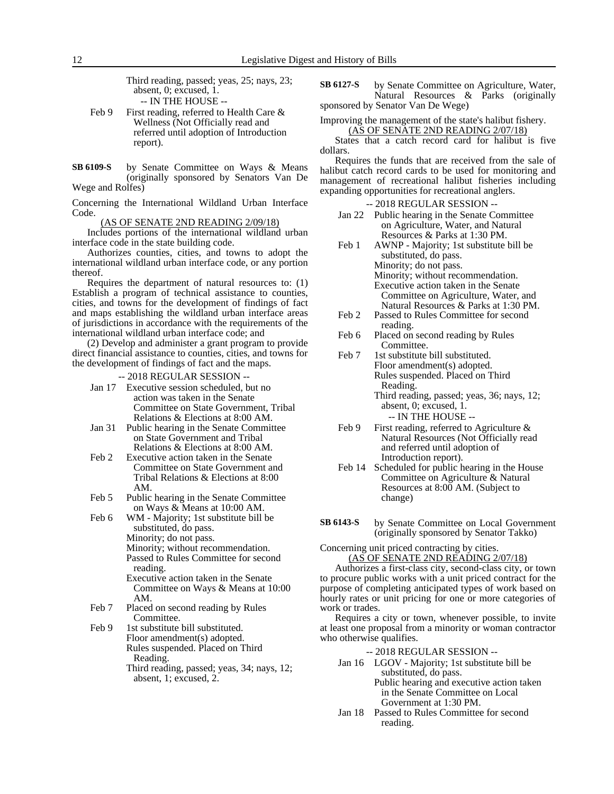Third reading, passed; yeas, 25; nays, 23; absent, 0; excused, 1. -- IN THE HOUSE --

- Feb 9 First reading, referred to Health Care & Wellness (Not Officially read and referred until adoption of Introduction report).
- by Senate Committee on Ways & Means (originally sponsored by Senators Van De Wege and Rolfes) **SB 6109-S**

Concerning the International Wildland Urban Interface Code.

(AS OF SENATE 2ND READING 2/09/18)

Includes portions of the international wildland urban interface code in the state building code.

Authorizes counties, cities, and towns to adopt the international wildland urban interface code, or any portion thereof.

Requires the department of natural resources to: (1) Establish a program of technical assistance to counties, cities, and towns for the development of findings of fact and maps establishing the wildland urban interface areas of jurisdictions in accordance with the requirements of the international wildland urban interface code; and

(2) Develop and administer a grant program to provide direct financial assistance to counties, cities, and towns for the development of findings of fact and the maps.

-- 2018 REGULAR SESSION --

- Jan 17 Executive session scheduled, but no action was taken in the Senate Committee on State Government, Tribal Relations & Elections at 8:00 AM.
- Jan 31 Public hearing in the Senate Committee on State Government and Tribal Relations & Elections at 8:00 AM.
- Feb 2 Executive action taken in the Senate Committee on State Government and Tribal Relations & Elections at 8:00 AM.
- Feb 5 Public hearing in the Senate Committee on Ways & Means at 10:00 AM.

Feb 6 WM - Majority; 1st substitute bill be substituted, do pass. Minority; do not pass. Minority; without recommendation. Passed to Rules Committee for second

- reading. Executive action taken in the Senate Committee on Ways & Means at 10:00 AM.
- Feb 7 Placed on second reading by Rules Committee.
- Feb 9 1st substitute bill substituted. Floor amendment(s) adopted. Rules suspended. Placed on Third Reading. Third reading, passed; yeas, 34; nays, 12;
	- absent, 1; excused, 2.

by Senate Committee on Agriculture, Water, Natural Resources & Parks (originally sponsored by Senator Van De Wege) **SB 6127-S**

Improving the management of the state's halibut fishery. (AS OF SENATE 2ND READING 2/07/18)

States that a catch record card for halibut is five dollars.

Requires the funds that are received from the sale of halibut catch record cards to be used for monitoring and management of recreational halibut fisheries including expanding opportunities for recreational anglers.

- -- 2018 REGULAR SESSION --
- Jan 22 Public hearing in the Senate Committee on Agriculture, Water, and Natural Resources & Parks at 1:30 PM.
- Feb 1 AWNP Majority; 1st substitute bill be substituted, do pass. Minority; do not pass. Minority; without recommendation. Executive action taken in the Senate Committee on Agriculture, Water, and Natural Resources & Parks at 1:30 PM. Feb 2 Passed to Rules Committee for second
- reading.
- Feb 6 Placed on second reading by Rules Committee.

Feb 7 1st substitute bill substituted. Floor amendment(s) adopted. Rules suspended. Placed on Third Reading. Third reading, passed; yeas, 36; nays, 12; absent, 0; excused, 1.

- -- IN THE HOUSE -- Feb 9 First reading, referred to Agriculture & Natural Resources (Not Officially read and referred until adoption of Introduction report).
- Feb 14 Scheduled for public hearing in the House Committee on Agriculture & Natural Resources at 8:00 AM. (Subject to change)
- by Senate Committee on Local Government (originally sponsored by Senator Takko) **SB 6143-S**

Concerning unit priced contracting by cities.

(AS OF SENATE 2ND READING 2/07/18)

Authorizes a first-class city, second-class city, or town to procure public works with a unit priced contract for the purpose of completing anticipated types of work based on hourly rates or unit pricing for one or more categories of work or trades.

Requires a city or town, whenever possible, to invite at least one proposal from a minority or woman contractor who otherwise qualifies.

-- 2018 REGULAR SESSION --

- Jan 16 LGOV Majority; 1st substitute bill be substituted, do pass. Public hearing and executive action taken in the Senate Committee on Local Government at 1:30 PM.
- Jan 18 Passed to Rules Committee for second reading.